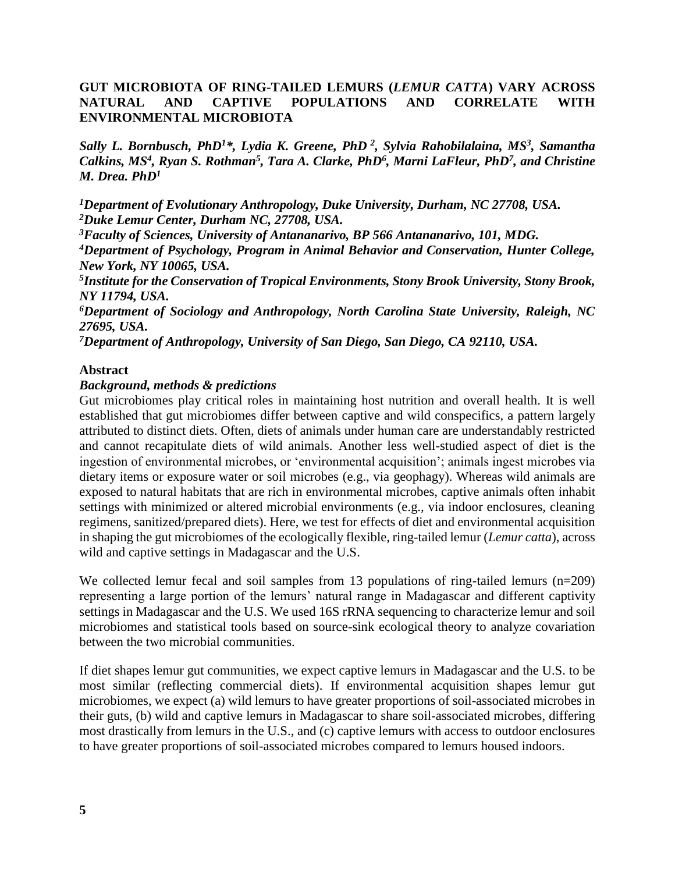# **GUT MICROBIOTA OF RING-TAILED LEMURS (***LEMUR CATTA***) VARY ACROSS NATURAL AND CAPTIVE POPULATIONS AND CORRELATE WITH ENVIRONMENTAL MICROBIOTA**

*Sally L. Bornbusch, PhD<sup>1</sup>\*, Lydia K. Greene, PhD <sup>2</sup> , Sylvia Rahobilalaina, MS<sup>3</sup> , Samantha Calkins, MS<sup>4</sup> , Ryan S. Rothman<sup>5</sup> , Tara A. Clarke, PhD<sup>6</sup> , Marni LaFleur, PhD<sup>7</sup> , and Christine M. Drea. PhD<sup>1</sup>*

*<sup>1</sup>Department of Evolutionary Anthropology, Duke University, Durham, NC 27708, USA. <sup>2</sup>Duke Lemur Center, Durham NC, 27708, USA.*

*<sup>3</sup>Faculty of Sciences, University of Antananarivo, BP 566 Antananarivo, 101, MDG.*

*<sup>4</sup>Department of Psychology, Program in Animal Behavior and Conservation, Hunter College, New York, NY 10065, USA.*

*5 Institute for the Conservation of Tropical Environments, Stony Brook University, Stony Brook, NY 11794, USA.*

*<sup>6</sup>Department of Sociology and Anthropology, North Carolina State University, Raleigh, NC 27695, USA.*

*<sup>7</sup>Department of Anthropology, University of San Diego, San Diego, CA 92110, USA.*

#### **Abstract**

#### *Background, methods & predictions*

Gut microbiomes play critical roles in maintaining host nutrition and overall health. It is well established that gut microbiomes differ between captive and wild conspecifics, a pattern largely attributed to distinct diets. Often, diets of animals under human care are understandably restricted and cannot recapitulate diets of wild animals. Another less well-studied aspect of diet is the ingestion of environmental microbes, or 'environmental acquisition'; animals ingest microbes via dietary items or exposure water or soil microbes (e.g., via geophagy). Whereas wild animals are exposed to natural habitats that are rich in environmental microbes, captive animals often inhabit settings with minimized or altered microbial environments (e.g., via indoor enclosures, cleaning regimens, sanitized/prepared diets). Here, we test for effects of diet and environmental acquisition in shaping the gut microbiomes of the ecologically flexible, ring-tailed lemur (*Lemur catta*), across wild and captive settings in Madagascar and the U.S.

We collected lemur fecal and soil samples from 13 populations of ring-tailed lemurs (n=209) representing a large portion of the lemurs' natural range in Madagascar and different captivity settings in Madagascar and the U.S. We used 16S rRNA sequencing to characterize lemur and soil microbiomes and statistical tools based on source-sink ecological theory to analyze covariation between the two microbial communities.

If diet shapes lemur gut communities, we expect captive lemurs in Madagascar and the U.S. to be most similar (reflecting commercial diets). If environmental acquisition shapes lemur gut microbiomes, we expect (a) wild lemurs to have greater proportions of soil-associated microbes in their guts, (b) wild and captive lemurs in Madagascar to share soil-associated microbes, differing most drastically from lemurs in the U.S., and (c) captive lemurs with access to outdoor enclosures to have greater proportions of soil-associated microbes compared to lemurs housed indoors.